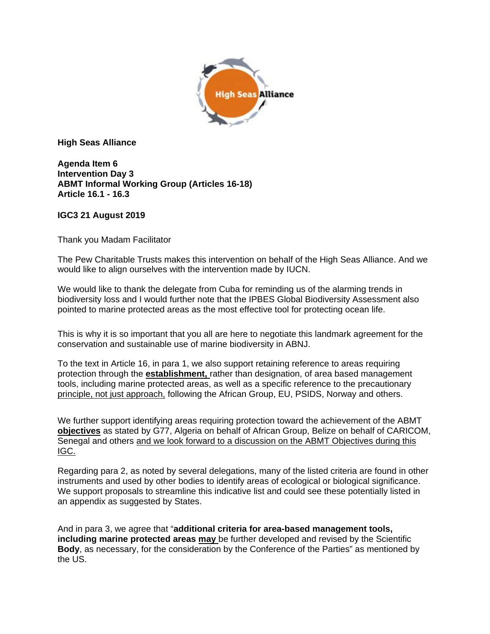

**High Seas Alliance**

**Agenda Item 6 Intervention Day 3 ABMT Informal Working Group (Articles 16-18) Article 16.1 - 16.3**

## **IGC3 21 August 2019**

Thank you Madam Facilitator

The Pew Charitable Trusts makes this intervention on behalf of the High Seas Alliance. And we would like to align ourselves with the intervention made by IUCN.

We would like to thank the delegate from Cuba for reminding us of the alarming trends in biodiversity loss and I would further note that the IPBES Global Biodiversity Assessment also pointed to marine protected areas as the most effective tool for protecting ocean life.

This is why it is so important that you all are here to negotiate this landmark agreement for the conservation and sustainable use of marine biodiversity in ABNJ.

To the text in Article 16, in para 1, we also support retaining reference to areas requiring protection through the **establishment,** rather than designation, of area based management tools, including marine protected areas, as well as a specific reference to the precautionary principle, not just approach, following the African Group, EU, PSIDS, Norway and others.

We further support identifying areas requiring protection toward the achievement of the ABMT **objectives** as stated by G77, Algeria on behalf of African Group, Belize on behalf of CARICOM, Senegal and others and we look forward to a discussion on the ABMT Objectives during this IGC.

Regarding para 2, as noted by several delegations, many of the listed criteria are found in other instruments and used by other bodies to identify areas of ecological or biological significance. We support proposals to streamline this indicative list and could see these potentially listed in an appendix as suggested by States.

And in para 3, we agree that "**additional criteria for area-based management tools, including marine protected areas may** be further developed and revised by the Scientific **Body**, as necessary, for the consideration by the Conference of the Parties" as mentioned by the US.